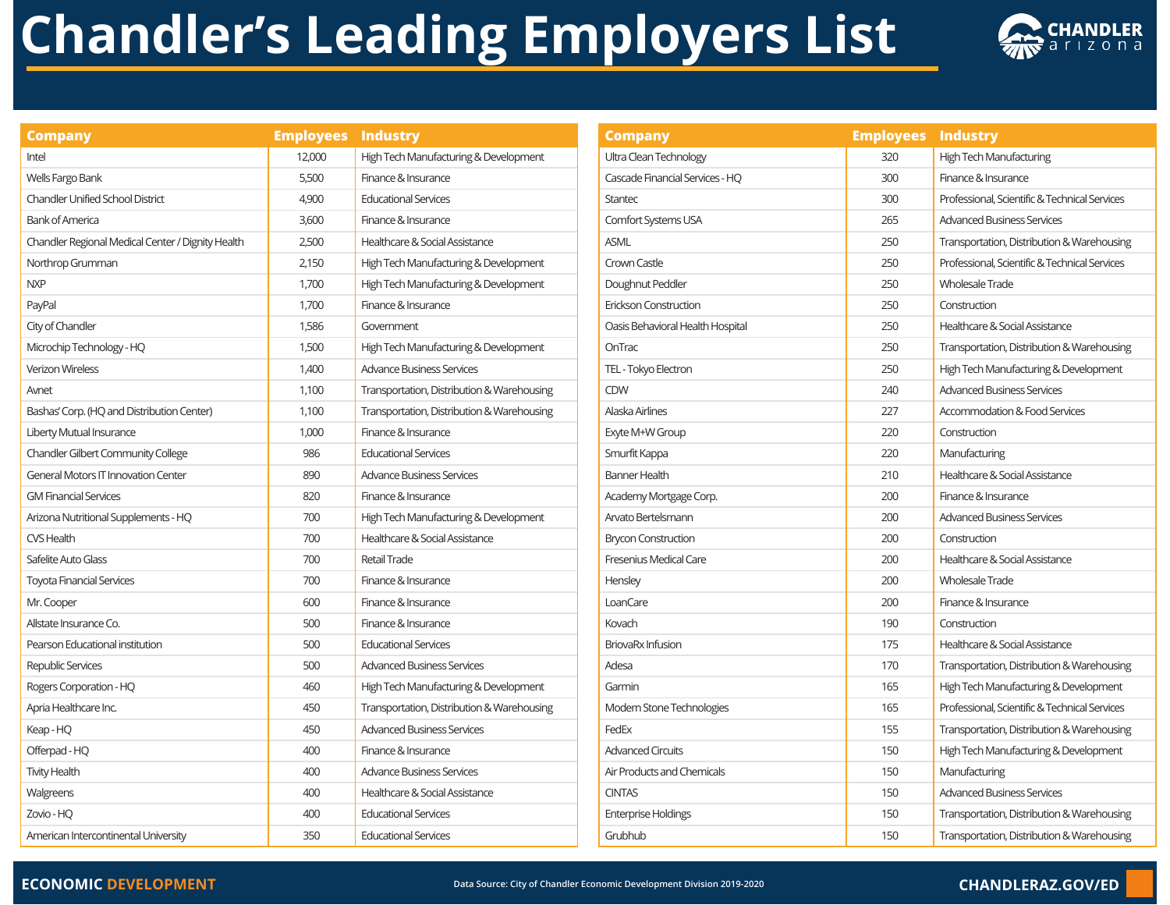# **Chandler's Leading Employers List**



| <b>Company</b>                                    | <b>Employees</b> | <b>Industry</b>                            |  |
|---------------------------------------------------|------------------|--------------------------------------------|--|
| Intel                                             | 12,000           | High Tech Manufacturing & Development      |  |
| Wells Fargo Bank                                  | 5,500            | Finance & Insurance                        |  |
| <b>Chandler Unified School District</b>           | 4,900            | <b>Educational Services</b>                |  |
| <b>Bank of America</b>                            | 3,600            | Finance & Insurance                        |  |
| Chandler Regional Medical Center / Dignity Health | 2,500            | Healthcare & Social Assistance             |  |
| Northrop Grumman                                  | 2,150            | High Tech Manufacturing & Development      |  |
| <b>NXP</b>                                        | 1,700            | High Tech Manufacturing & Development      |  |
| PayPal                                            | 1,700            | Finance & Insurance                        |  |
| City of Chandler                                  | 1,586            | Government                                 |  |
| Microchip Technology - HQ                         | 1,500            | High Tech Manufacturing & Development      |  |
| <b>Verizon Wireless</b>                           | 1,400            | <b>Advance Business Services</b>           |  |
| Avnet                                             | 1,100            | Transportation, Distribution & Warehousing |  |
| Bashas' Corp. (HQ and Distribution Center)        | 1,100            | Transportation, Distribution & Warehousing |  |
| Liberty Mutual Insurance                          | 1,000            | Finance & Insurance                        |  |
| <b>Chandler Gilbert Community College</b>         | 986              | <b>Educational Services</b>                |  |
| <b>General Motors IT Innovation Center</b>        | 890              | <b>Advance Business Services</b>           |  |
| <b>GM Financial Services</b>                      | 820              | Finance & Insurance                        |  |
| Arizona Nutritional Supplements - HQ              | 700              | High Tech Manufacturing & Development      |  |
| CVS Health                                        | 700              | Healthcare & Social Assistance             |  |
| Safelite Auto Glass                               | 700              | <b>Retail Trade</b>                        |  |
| <b>Toyota Financial Services</b>                  | 700              | Finance & Insurance                        |  |
| Mr. Cooper                                        | 600              | Finance & Insurance                        |  |
| Allstate Insurance Co.                            | 500              | Finance & Insurance                        |  |
| Pearson Educational institution                   | 500              | <b>Educational Services</b>                |  |
| Republic Services                                 | 500              | <b>Advanced Business Services</b>          |  |
| Rogers Corporation - HQ                           | 460              | High Tech Manufacturing & Development      |  |
| Apria Healthcare Inc.                             | 450              | Transportation, Distribution & Warehousing |  |
| Keap-HQ                                           | 450              | <b>Advanced Business Services</b>          |  |
| Offerpad - HQ                                     | 400              | Finance & Insurance                        |  |
| <b>Tivity Health</b>                              | 400              | <b>Advance Business Services</b>           |  |
| Walgreens                                         | 400              | Healthcare & Social Assistance             |  |
| Zovio - HO                                        | 400              | <b>Educational Services</b>                |  |
| American Intercontinental University              | 350              | <b>Educational Services</b>                |  |

| <b>Company</b>                   | <b>Employees</b> | <b>Industry</b>                               |  |
|----------------------------------|------------------|-----------------------------------------------|--|
| Ultra Clean Technology           | 320              | High Tech Manufacturing                       |  |
| Cascade Financial Services - HQ  | 300              | Finance & Insurance                           |  |
| <b>Stantec</b>                   | 300              | Professional, Scientific & Technical Services |  |
| Comfort Systems USA              | 265              | <b>Advanced Business Services</b>             |  |
| <b>ASML</b>                      | 250              | Transportation, Distribution & Warehousing    |  |
| Crown Castle                     | 250              | Professional, Scientific & Technical Services |  |
| Doughnut Peddler                 | 250              | <b>Wholesale Trade</b>                        |  |
| Erickson Construction            | 250              | Construction                                  |  |
| Oasis Behavioral Health Hospital | 250              | Healthcare & Social Assistance                |  |
| OnTrac                           | 250              | Transportation, Distribution & Warehousing    |  |
| TEL - Tokyo Electron             | 250              | High Tech Manufacturing & Development         |  |
| <b>CDW</b>                       | 240              | <b>Advanced Business Services</b>             |  |
| Alaska Airlines                  | 227              | <b>Accommodation &amp; Food Services</b>      |  |
| Exyte M+W Group                  | 220              | Construction                                  |  |
| Smurfit Kappa                    | 220              | Manufacturing                                 |  |
| <b>Banner Health</b>             | 210              | Healthcare & Social Assistance                |  |
| Academy Mortgage Corp.           | 200              | Finance & Insurance                           |  |
| Arvato Bertelsmann               | 200              | <b>Advanced Business Services</b>             |  |
| <b>Brycon Construction</b>       | 200              | Construction                                  |  |
| <b>Fresenius Medical Care</b>    | 200              | Healthcare & Social Assistance                |  |
| Hensley                          | 200              | Wholesale Trade                               |  |
| LoanCare                         | 200              | Finance & Insurance                           |  |
| Kovach                           | 190              | Construction                                  |  |
| <b>BriovaRx Infusion</b>         | 175              | Healthcare & Social Assistance                |  |
| Adesa                            | 170              | Transportation, Distribution & Warehousing    |  |
| Garmin                           | 165              | High Tech Manufacturing & Development         |  |
| Modern Stone Technologies        | 165              | Professional, Scientific & Technical Services |  |
| FedEx                            | 155              | Transportation, Distribution & Warehousing    |  |
| <b>Advanced Circuits</b>         | 150              | High Tech Manufacturing & Development         |  |
| Air Products and Chemicals       | 150              | Manufacturing                                 |  |
| <b>CINTAS</b>                    | 150              | Advanced Business Services                    |  |
| <b>Enterprise Holdings</b>       | 150              | Transportation, Distribution & Warehousing    |  |
| Grubhub                          | 150              | Transportation, Distribution & Warehousing    |  |